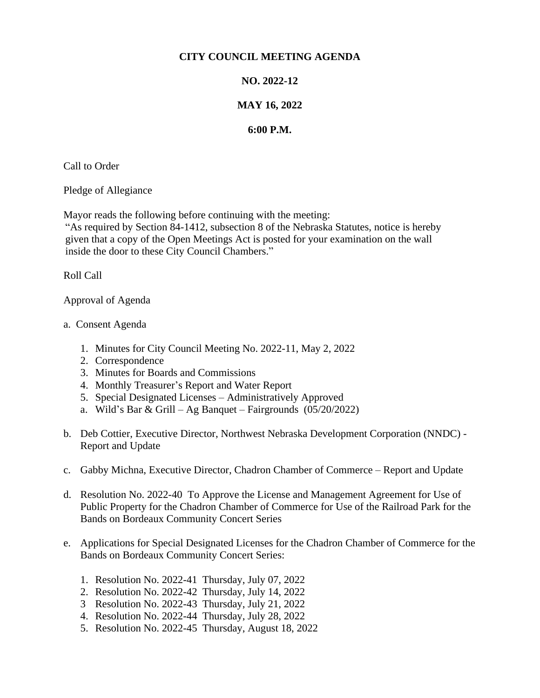## **CITY COUNCIL MEETING AGENDA**

## **NO. 2022-12**

## **MAY 16, 2022**

## **6:00 P.M.**

Call to Order

Pledge of Allegiance

Mayor reads the following before continuing with the meeting:

"As required by Section 84-1412, subsection 8 of the Nebraska Statutes, notice is hereby given that a copy of the Open Meetings Act is posted for your examination on the wall inside the door to these City Council Chambers."

Roll Call

Approval of Agenda

- a. Consent Agenda
	- 1. Minutes for City Council Meeting No. 2022-11, May 2, 2022
	- 2. Correspondence
	- 3. Minutes for Boards and Commissions
	- 4. Monthly Treasurer's Report and Water Report
	- 5. Special Designated Licenses Administratively Approved
	- a. Wild's Bar & Grill Ag Banquet Fairgrounds  $(05/20/2022)$
- b. Deb Cottier, Executive Director, Northwest Nebraska Development Corporation (NNDC) Report and Update
- c. Gabby Michna, Executive Director, Chadron Chamber of Commerce Report and Update
- d. Resolution No. 2022-40 To Approve the License and Management Agreement for Use of Public Property for the Chadron Chamber of Commerce for Use of the Railroad Park for the Bands on Bordeaux Community Concert Series
- e. Applications for Special Designated Licenses for the Chadron Chamber of Commerce for the Bands on Bordeaux Community Concert Series:
	- 1. Resolution No. 2022-41 Thursday, July 07, 2022
	- 2. Resolution No. 2022-42 Thursday, July 14, 2022
	- 3 Resolution No. 2022-43 Thursday, July 21, 2022
	- 4. Resolution No. 2022-44 Thursday, July 28, 2022
	- 5. Resolution No. 2022-45 Thursday, August 18, 2022